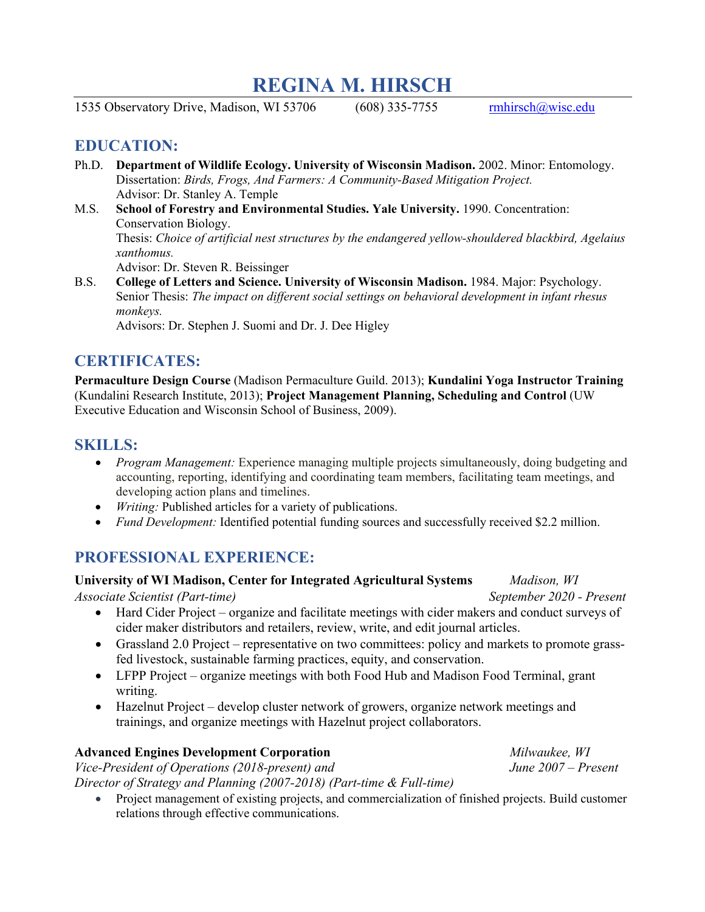# **REGINA M. HIRSCH**

1535 Observatory Drive, Madison, WI 53706 (608) 335-7755 [rmhirsch@wisc.edu](mailto:rmhirsch@wisc.edu)

## **EDUCATION:**

- Ph.D. **Department of Wildlife Ecology. University of Wisconsin Madison.** 2002. Minor: Entomology. Dissertation: *Birds, Frogs, And Farmers: A Community-Based Mitigation Project.* Advisor: Dr. Stanley A. Temple
- M.S. **School of Forestry and Environmental Studies. Yale University.** 1990. Concentration: Conservation Biology. Thesis: *Choice of artificial nest structures by the endangered yellow-shouldered blackbird, Agelaius xanthomus.* Advisor: Dr. Steven R. Beissinger
- B.S. **College of Letters and Science. University of Wisconsin Madison.** 1984. Major: Psychology. Senior Thesis: *The impact on different social settings on behavioral development in infant rhesus monkeys.*

Advisors: Dr. Stephen J. Suomi and Dr. J. Dee Higley

# **CERTIFICATES:**

**Permaculture Design Course** (Madison Permaculture Guild. 2013); **Kundalini Yoga Instructor Training** (Kundalini Research Institute, 2013); **Project Management Planning, Scheduling and Control** (UW Executive Education and Wisconsin School of Business, 2009).

# **SKILLS:**

- *Program Management:* Experience managing multiple projects simultaneously, doing budgeting and accounting, reporting, identifying and coordinating team members, facilitating team meetings, and developing action plans and timelines.
- *Writing:* Published articles for a variety of publications.
- *Fund Development:* Identified potential funding sources and successfully received \$2.2 million.

# **PROFESSIONAL EXPERIENCE:**

### **University of WI Madison, Center for Integrated Agricultural Systems** *Madison, WI*

*Associate Scientist (Part-time) September 2020 - Present*

- Hard Cider Project organize and facilitate meetings with cider makers and conduct surveys of cider maker distributors and retailers, review, write, and edit journal articles.
- Grassland 2.0 Project representative on two committees: policy and markets to promote grassfed livestock, sustainable farming practices, equity, and conservation.
- LFPP Project organize meetings with both Food Hub and Madison Food Terminal, grant writing.
- Hazelnut Project develop cluster network of growers, organize network meetings and trainings, and organize meetings with Hazelnut project collaborators.

## **Advanced Engines Development Corporation** *Milwaukee, WI*

*Vice-President of Operations (2018-present) and June 2007 – Present Director of Strategy and Planning (2007-2018) (Part-time & Full-time)*

• Project management of existing projects, and commercialization of finished projects. Build customer relations through effective communications.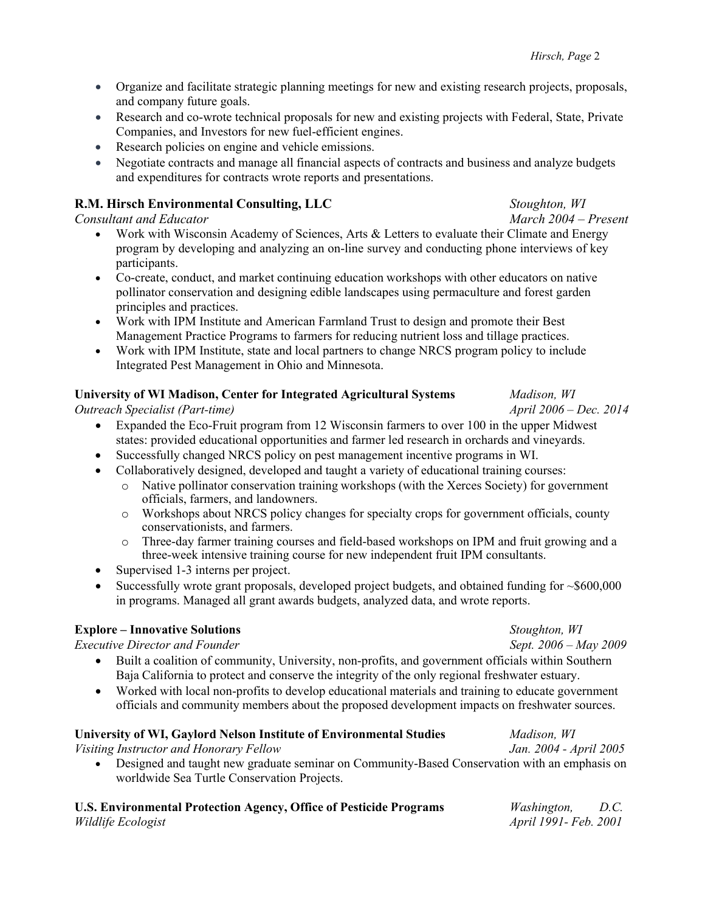- Organize and facilitate strategic planning meetings for new and existing research projects, proposals, and company future goals.
- Research and co-wrote technical proposals for new and existing projects with Federal, State, Private Companies, and Investors for new fuel-efficient engines.
- Research policies on engine and vehicle emissions.
- Negotiate contracts and manage all financial aspects of contracts and business and analyze budgets and expenditures for contracts wrote reports and presentations.

### **R.M. Hirsch Environmental Consulting, LLC** *Stoughton, WI*

#### *Consultant and Educator March 2004 – Present*

- Work with Wisconsin Academy of Sciences, Arts & Letters to evaluate their Climate and Energy program by developing and analyzing an on-line survey and conducting phone interviews of key participants.
- Co-create, conduct, and market continuing education workshops with other educators on native pollinator conservation and designing edible landscapes using permaculture and forest garden principles and practices.
- Work with IPM Institute and American Farmland Trust to design and promote their Best Management Practice Programs to farmers for reducing nutrient loss and tillage practices.
- Work with IPM Institute, state and local partners to change NRCS program policy to include Integrated Pest Management in Ohio and Minnesota.

### **University of WI Madison, Center for Integrated Agricultural Systems** *Madison, WI*

*Outreach Specialist (Part-time) April 2006 – Dec. 2014*

- Expanded the Eco-Fruit program from 12 Wisconsin farmers to over 100 in the upper Midwest states: provided educational opportunities and farmer led research in orchards and vineyards.
- Successfully changed NRCS policy on pest management incentive programs in WI.
	- Collaboratively designed, developed and taught a variety of educational training courses:
		- o Native pollinator conservation training workshops (with the Xerces Society) for government officials, farmers, and landowners.
		- o Workshops about NRCS policy changes for specialty crops for government officials, county conservationists, and farmers.
		- o Three-day farmer training courses and field-based workshops on IPM and fruit growing and a three-week intensive training course for new independent fruit IPM consultants.
- Supervised 1-3 interns per project.
- Successfully wrote grant proposals, developed project budgets, and obtained funding for  $\sim $600,000$ in programs. Managed all grant awards budgets, analyzed data, and wrote reports.

### **Explore – Innovative Solutions** *Stoughton, WI*

*Executive Director and Founder Sept. 2006 – May 2009*

- Built a coalition of community, University, non-profits, and government officials within Southern Baja California to protect and conserve the integrity of the only regional freshwater estuary.
- Worked with local non-profits to develop educational materials and training to educate government officials and community members about the proposed development impacts on freshwater sources.

### **University of WI, Gaylord Nelson Institute of Environmental Studies** *Madison, WI*

*Visiting Instructor and Honorary Fellow Jan. 2004 - April 2005*

• Designed and taught new graduate seminar on Community-Based Conservation with an emphasis on worldwide Sea Turtle Conservation Projects.

| U.S. Environmental Protection Agency, Office of Pesticide Programs | <i>Washington,</i>           | D.C. |
|--------------------------------------------------------------------|------------------------------|------|
| Wildlife Ecologist                                                 | <i>April 1991- Feb. 2001</i> |      |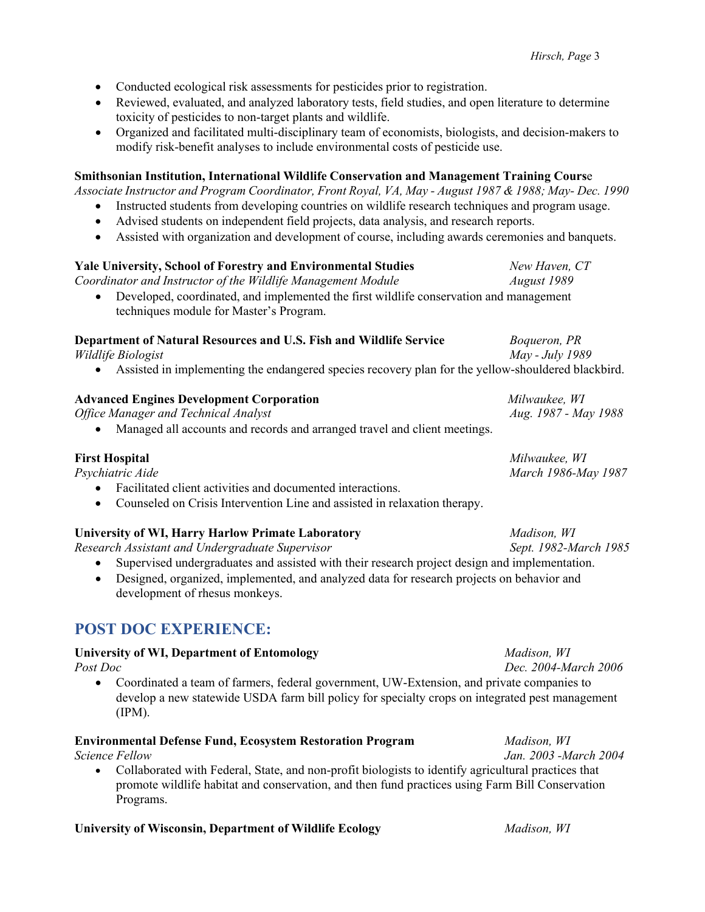- Conducted ecological risk assessments for pesticides prior to registration.
- Reviewed, evaluated, and analyzed laboratory tests, field studies, and open literature to determine toxicity of pesticides to non-target plants and wildlife.
- Organized and facilitated multi-disciplinary team of economists, biologists, and decision-makers to modify risk-benefit analyses to include environmental costs of pesticide use.

#### **Smithsonian Institution, International Wildlife Conservation and Management Training Cours**e

*Associate Instructor and Program Coordinator, Front Royal, VA, May - August 1987 & 1988; May- Dec. 1990*

- Instructed students from developing countries on wildlife research techniques and program usage.
- Advised students on independent field projects, data analysis, and research reports.
- Assisted with organization and development of course, including awards ceremonies and banquets.

# **Yale University, School of Forestry and Environmental Studies** *New Haven, CT Coordinator and Instructor of the Wildlife Management Module August 1989* • Developed, coordinated, and implemented the first wildlife conservation and management techniques module for Master's Program. **Department of Natural Resources and U.S. Fish and Wildlife Service** *Boqueron, PR Wildlife Biologist May - July 1989* • Assisted in implementing the endangered species recovery plan for the yellow-shouldered blackbird. **Advanced Engines Development Corporation** *Milwaukee, WI Office Manager and Technical Analyst Aug. 1987 - May 1988* • Managed all accounts and records and arranged travel and client meetings. **First Hospital** *Milwaukee, WI*

| г и эс поэриаг                                                                                                                                                                                                                                                                                                                                                                                                               | <i>IVILLWAARE, III</i> |
|------------------------------------------------------------------------------------------------------------------------------------------------------------------------------------------------------------------------------------------------------------------------------------------------------------------------------------------------------------------------------------------------------------------------------|------------------------|
| Psychiatric Aide                                                                                                                                                                                                                                                                                                                                                                                                             | March 1986-May 1987    |
| $\mathbf{r} = \mathbf{r} + \mathbf{r} + \mathbf{r} + \mathbf{r} + \mathbf{r} + \mathbf{r} + \mathbf{r} + \mathbf{r} + \mathbf{r} + \mathbf{r} + \mathbf{r} + \mathbf{r} + \mathbf{r} + \mathbf{r} + \mathbf{r} + \mathbf{r} + \mathbf{r} + \mathbf{r} + \mathbf{r} + \mathbf{r} + \mathbf{r} + \mathbf{r} + \mathbf{r} + \mathbf{r} + \mathbf{r} + \mathbf{r} + \mathbf{r} + \mathbf{r} + \mathbf{r} + \mathbf{r} + \mathbf$ |                        |

- Facilitated client activities and documented interactions.
- Counseled on Crisis Intervention Line and assisted in relaxation therapy.

## **University of WI, Harry Harlow Primate Laboratory** *Madison, WI*

*Research Assistant and Undergraduate Supervisor Sept. 1982-March 1985*

- Supervised undergraduates and assisted with their research project design and implementation.
- Designed, organized, implemented, and analyzed data for research projects on behavior and development of rhesus monkeys.

# **POST DOC EXPERIENCE:**

### **University of WI, Department of Entomology** *Madison, WI*

*Post Doc Dec. 2004-March 2006*

• Coordinated a team of farmers, federal government, UW-Extension, and private companies to develop a new statewide USDA farm bill policy for specialty crops on integrated pest management (IPM).

### **Environmental Defense Fund, Ecosystem Restoration Program** *Madison, WI*

• Collaborated with Federal, State, and non-profit biologists to identify agricultural practices that promote wildlife habitat and conservation, and then fund practices using Farm Bill Conservation Programs.

#### **University of Wisconsin, Department of Wildlife Ecology** *Madison, WI*

*Science Fellow Jan. 2003 -March 2004*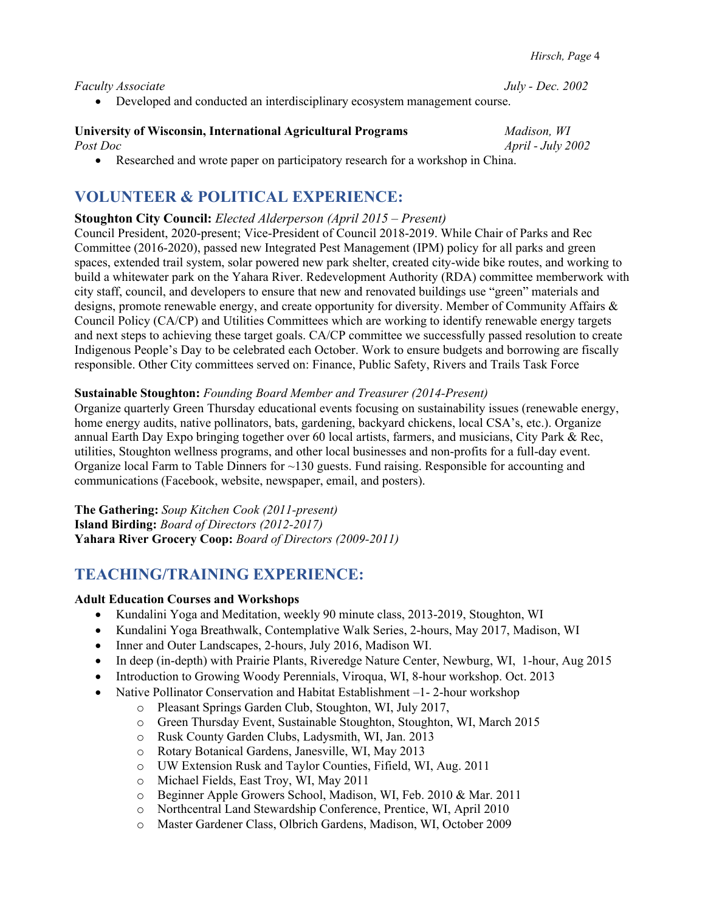*Faculty Associate July - Dec. 2002*

• Developed and conducted an interdisciplinary ecosystem management course.

#### **University of Wisconsin, International Agricultural Programs** *Madison, WI Post Doc April - July 2002*

• Researched and wrote paper on participatory research for a workshop in China.

# **VOLUNTEER & POLITICAL EXPERIENCE:**

#### **Stoughton City Council:** *Elected Alderperson (April 2015 – Present)*

Council President, 2020-present; Vice-President of Council 2018-2019. While Chair of Parks and Rec Committee (2016-2020), passed new Integrated Pest Management (IPM) policy for all parks and green spaces, extended trail system, solar powered new park shelter, created city-wide bike routes, and working to build a whitewater park on the Yahara River. Redevelopment Authority (RDA) committee memberwork with city staff, council, and developers to ensure that new and renovated buildings use "green" materials and designs, promote renewable energy, and create opportunity for diversity. Member of Community Affairs & Council Policy (CA/CP) and Utilities Committees which are working to identify renewable energy targets and next steps to achieving these target goals. CA/CP committee we successfully passed resolution to create Indigenous People's Day to be celebrated each October. Work to ensure budgets and borrowing are fiscally responsible. Other City committees served on: Finance, Public Safety, Rivers and Trails Task Force

#### **Sustainable Stoughton:** *Founding Board Member and Treasurer (2014-Present)*

Organize quarterly Green Thursday educational events focusing on sustainability issues (renewable energy, home energy audits, native pollinators, bats, gardening, backyard chickens, local CSA's, etc.). Organize annual Earth Day Expo bringing together over 60 local artists, farmers, and musicians, City Park & Rec, utilities, Stoughton wellness programs, and other local businesses and non-profits for a full-day event. Organize local Farm to Table Dinners for ~130 guests. Fund raising. Responsible for accounting and communications (Facebook, website, newspaper, email, and posters).

**The Gathering:** *Soup Kitchen Cook (2011-present)* **Island Birding:** *Board of Directors (2012-2017)* **Yahara River Grocery Coop:** *Board of Directors (2009-2011)*

## **TEACHING/TRAINING EXPERIENCE:**

#### **Adult Education Courses and Workshops**

- Kundalini Yoga and Meditation, weekly 90 minute class, 2013-2019, Stoughton, WI
- Kundalini Yoga Breathwalk, Contemplative Walk Series, 2-hours, May 2017, Madison, WI
- Inner and Outer Landscapes, 2-hours, July 2016, Madison WI.
- In deep (in-depth) with Prairie Plants, Riveredge Nature Center, Newburg, WI, 1-hour, Aug 2015
- Introduction to Growing Woody Perennials, Viroqua, WI, 8-hour workshop. Oct. 2013
- Native Pollinator Conservation and Habitat Establishment –1-2-hour workshop
	- o Pleasant Springs Garden Club, Stoughton, WI, July 2017,
	- o Green Thursday Event, Sustainable Stoughton, Stoughton, WI, March 2015
	- o Rusk County Garden Clubs, Ladysmith, WI, Jan. 2013
	- o Rotary Botanical Gardens, Janesville, WI, May 2013
	- o UW Extension Rusk and Taylor Counties, Fifield, WI, Aug. 2011
	- o Michael Fields, East Troy, WI, May 2011
	- o Beginner Apple Growers School, Madison, WI, Feb. 2010 & Mar. 2011
	- o Northcentral Land Stewardship Conference, Prentice, WI, April 2010
	- o Master Gardener Class, Olbrich Gardens, Madison, WI, October 2009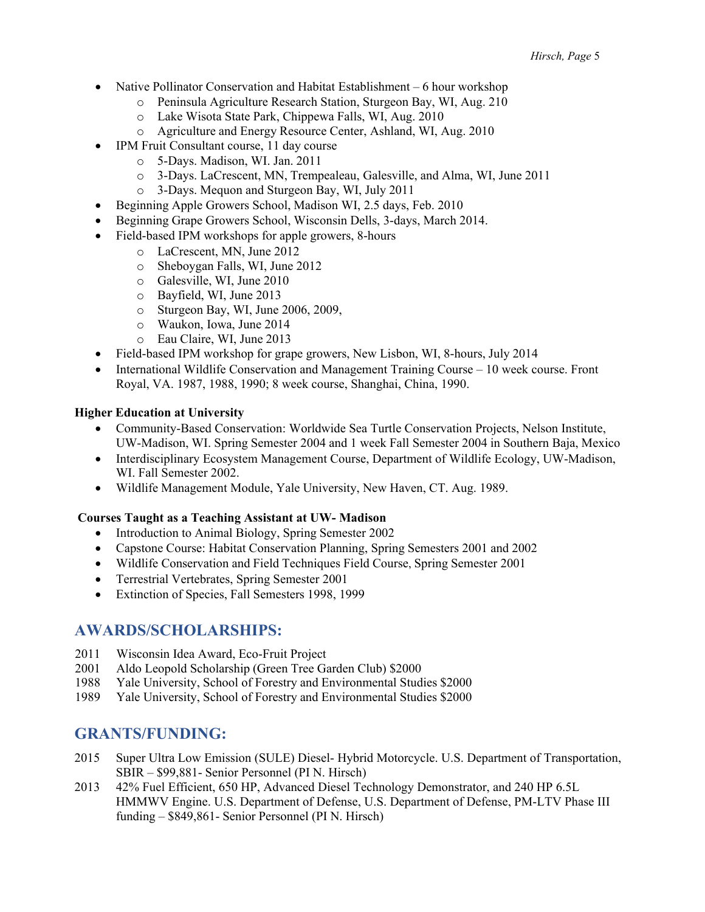- Native Pollinator Conservation and Habitat Establishment 6 hour workshop
	- o Peninsula Agriculture Research Station, Sturgeon Bay, WI, Aug. 210
	- o Lake Wisota State Park, Chippewa Falls, WI, Aug. 2010
	- o Agriculture and Energy Resource Center, Ashland, WI, Aug. 2010
- IPM Fruit Consultant course, 11 day course
	- o 5-Days. Madison, WI. Jan. 2011
	- o 3-Days. LaCrescent, MN, Trempealeau, Galesville, and Alma, WI, June 2011
	- o 3-Days. Mequon and Sturgeon Bay, WI, July 2011
- Beginning Apple Growers School, Madison WI, 2.5 days, Feb. 2010
- Beginning Grape Growers School, Wisconsin Dells, 3-days, March 2014.
- Field-based IPM workshops for apple growers, 8-hours
	- o LaCrescent, MN, June 2012
	- o Sheboygan Falls, WI, June 2012
	- o Galesville, WI, June 2010
	- o Bayfield, WI, June 2013
	- o Sturgeon Bay, WI, June 2006, 2009,
	- o Waukon, Iowa, June 2014
	- o Eau Claire, WI, June 2013
- Field-based IPM workshop for grape growers, New Lisbon, WI, 8-hours, July 2014
- International Wildlife Conservation and Management Training Course 10 week course. Front Royal, VA. 1987, 1988, 1990; 8 week course, Shanghai, China, 1990.

#### **Higher Education at University**

- Community-Based Conservation: Worldwide Sea Turtle Conservation Projects, Nelson Institute, UW-Madison, WI. Spring Semester 2004 and 1 week Fall Semester 2004 in Southern Baja, Mexico
- Interdisciplinary Ecosystem Management Course, Department of Wildlife Ecology, UW-Madison, WI. Fall Semester 2002.
- Wildlife Management Module, Yale University, New Haven, CT. Aug. 1989.

#### **Courses Taught as a Teaching Assistant at UW- Madison**

- Introduction to Animal Biology, Spring Semester 2002
- Capstone Course: Habitat Conservation Planning, Spring Semesters 2001 and 2002
- Wildlife Conservation and Field Techniques Field Course, Spring Semester 2001
- Terrestrial Vertebrates, Spring Semester 2001
- Extinction of Species, Fall Semesters 1998, 1999

## **AWARDS/SCHOLARSHIPS:**

- 2011 Wisconsin Idea Award, Eco-Fruit Project
- 2001 Aldo Leopold Scholarship (Green Tree Garden Club) \$2000
- 1988 Yale University, School of Forestry and Environmental Studies \$2000
- 1989 Yale University, School of Forestry and Environmental Studies \$2000

## **GRANTS/FUNDING:**

- 2015 Super Ultra Low Emission (SULE) Diesel- Hybrid Motorcycle. U.S. Department of Transportation, SBIR – \$99,881- Senior Personnel (PI N. Hirsch)
- 2013 42% Fuel Efficient, 650 HP, Advanced Diesel Technology Demonstrator, and 240 HP 6.5L HMMWV Engine. U.S. Department of Defense, U.S. Department of Defense, PM-LTV Phase III funding – \$849,861- Senior Personnel (PI N. Hirsch)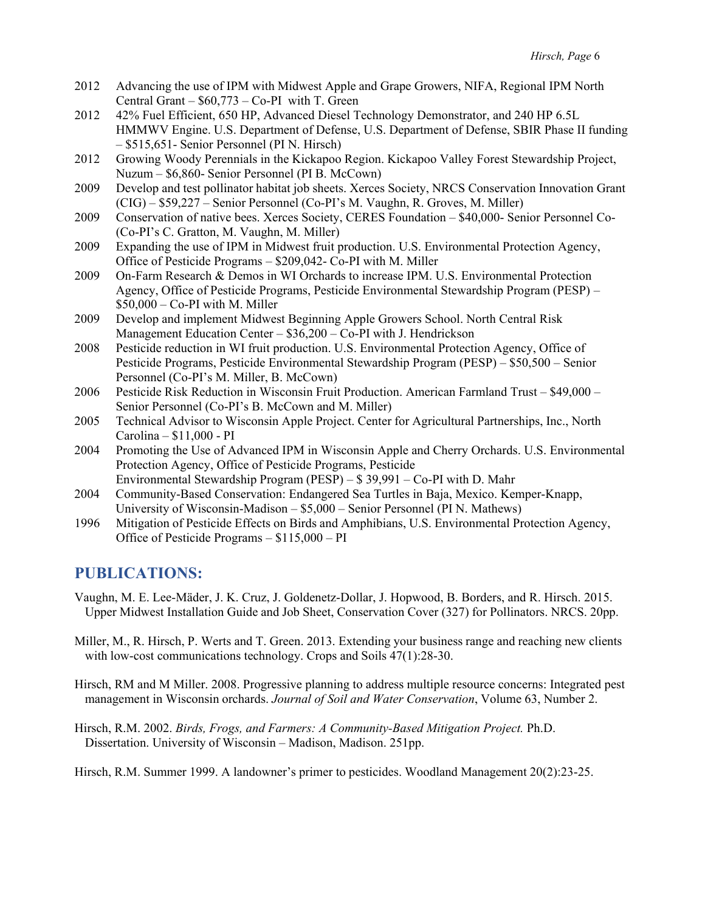- 2012 Advancing the use of IPM with Midwest Apple and Grape Growers, NIFA, Regional IPM North Central Grant  $-$  \$60,773  $-$  Co-PI with T. Green
- 2012 42% Fuel Efficient, 650 HP, Advanced Diesel Technology Demonstrator, and 240 HP 6.5L HMMWV Engine. U.S. Department of Defense, U.S. Department of Defense, SBIR Phase II funding – \$515,651- Senior Personnel (PI N. Hirsch)
- 2012 Growing Woody Perennials in the Kickapoo Region. Kickapoo Valley Forest Stewardship Project, Nuzum – \$6,860- Senior Personnel (PI B. McCown)
- 2009 Develop and test pollinator habitat job sheets. Xerces Society, NRCS Conservation Innovation Grant (CIG) – \$59,227 – Senior Personnel (Co-PI's M. Vaughn, R. Groves, M. Miller)
- 2009 Conservation of native bees. Xerces Society, CERES Foundation \$40,000- Senior Personnel Co- (Co-PI's C. Gratton, M. Vaughn, M. Miller)
- 2009 Expanding the use of IPM in Midwest fruit production. U.S. Environmental Protection Agency, Office of Pesticide Programs – \$209,042- Co-PI with M. Miller
- 2009 On-Farm Research & Demos in WI Orchards to increase IPM. U.S. Environmental Protection Agency, Office of Pesticide Programs, Pesticide Environmental Stewardship Program (PESP) –  $$50,000 - Co-PI$  with M. Miller
- 2009 Develop and implement Midwest Beginning Apple Growers School. North Central Risk Management Education Center – \$36,200 – Co-PI with J. Hendrickson
- 2008 Pesticide reduction in WI fruit production. U.S. Environmental Protection Agency, Office of Pesticide Programs, Pesticide Environmental Stewardship Program (PESP) – \$50,500 – Senior Personnel (Co-PI's M. Miller, B. McCown)
- 2006 Pesticide Risk Reduction in Wisconsin Fruit Production. American Farmland Trust \$49,000 Senior Personnel (Co-PI's B. McCown and M. Miller)
- 2005 Technical Advisor to Wisconsin Apple Project. Center for Agricultural Partnerships, Inc., North Carolina – \$11,000 - PI
- 2004 Promoting the Use of Advanced IPM in Wisconsin Apple and Cherry Orchards. U.S. Environmental Protection Agency, Office of Pesticide Programs, Pesticide Environmental Stewardship Program (PESP) – \$ 39,991 – Co-PI with D. Mahr
- 2004 Community-Based Conservation: Endangered Sea Turtles in Baja, Mexico. Kemper-Knapp, University of Wisconsin-Madison – \$5,000 – Senior Personnel (PI N. Mathews)
- 1996 Mitigation of Pesticide Effects on Birds and Amphibians, U.S. Environmental Protection Agency, Office of Pesticide Programs – \$115,000 – PI

## **PUBLICATIONS:**

- Vaughn, M. E. Lee-Mӓder, J. K. Cruz, J. Goldenetz-Dollar, J. Hopwood, B. Borders, and R. Hirsch. 2015. Upper Midwest Installation Guide and Job Sheet, Conservation Cover (327) for Pollinators. NRCS. 20pp.
- Miller, M., R. Hirsch, P. Werts and T. Green. 2013. Extending your business range and reaching new clients with low-cost communications technology. Crops and Soils 47(1):28-30.
- Hirsch, RM and M Miller. 2008. Progressive planning to address multiple resource concerns: Integrated pest management in Wisconsin orchards. *Journal of Soil and Water Conservation*, Volume 63, Number 2.
- Hirsch, R.M. 2002. *Birds, Frogs, and Farmers: A Community-Based Mitigation Project.* Ph.D. Dissertation. University of Wisconsin – Madison, Madison. 251pp.

Hirsch, R.M. Summer 1999. A landowner's primer to pesticides. Woodland Management 20(2):23-25.